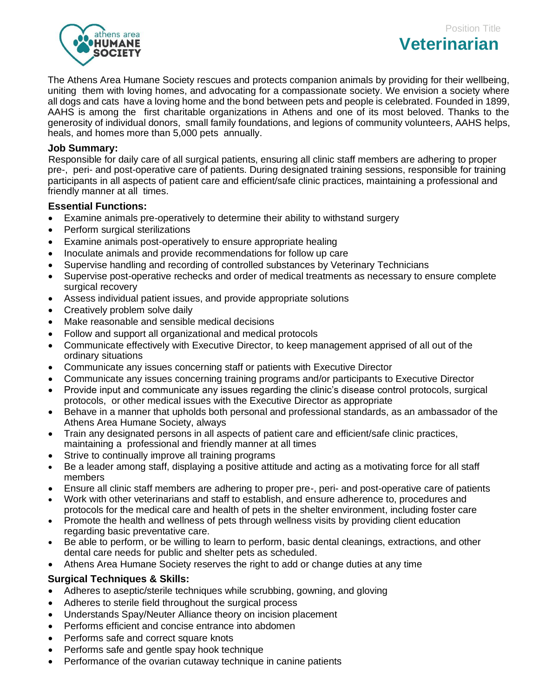

The Athens Area Humane Society rescues and protects companion animals by providing for their wellbeing, uniting them with loving homes, and advocating for a compassionate society. We envision a society where all dogs and cats have a loving home and the bond between pets and people is celebrated. Founded in 1899, AAHS is among the first charitable organizations in Athens and one of its most beloved. Thanks to the generosity of individual donors, small family foundations, and legions of community volunteers, AAHS helps, heals, and homes more than 5,000 pets annually.

## **Job Summary:**

Responsible for daily care of all surgical patients, ensuring all clinic staff members are adhering to proper pre-, peri- and post-operative care of patients. During designated training sessions, responsible for training participants in all aspects of patient care and efficient/safe clinic practices, maintaining a professional and friendly manner at all times.

## **Essential Functions:**

- Examine animals pre-operatively to determine their ability to withstand surgery
- Perform surgical sterilizations
- Examine animals post-operatively to ensure appropriate healing
- Inoculate animals and provide recommendations for follow up care
- Supervise handling and recording of controlled substances by Veterinary Technicians
- Supervise post-operative rechecks and order of medical treatments as necessary to ensure complete surgical recovery
- Assess individual patient issues, and provide appropriate solutions
- Creatively problem solve daily
- Make reasonable and sensible medical decisions
- Follow and support all organizational and medical protocols
- Communicate effectively with Executive Director, to keep management apprised of all out of the ordinary situations
- Communicate any issues concerning staff or patients with Executive Director
- Communicate any issues concerning training programs and/or participants to Executive Director
- Provide input and communicate any issues regarding the clinic's disease control protocols, surgical protocols, or other medical issues with the Executive Director as appropriate
- Behave in a manner that upholds both personal and professional standards, as an ambassador of the Athens Area Humane Society, always
- Train any designated persons in all aspects of patient care and efficient/safe clinic practices, maintaining a professional and friendly manner at all times
- Strive to continually improve all training programs
- Be a leader among staff, displaying a positive attitude and acting as a motivating force for all staff members
- Ensure all clinic staff members are adhering to proper pre-, peri- and post-operative care of patients
- Work with other veterinarians and staff to establish, and ensure adherence to, procedures and protocols for the medical care and health of pets in the shelter environment, including foster care
- Promote the health and wellness of pets through wellness visits by providing client education regarding basic preventative care.
- Be able to perform, or be willing to learn to perform, basic dental cleanings, extractions, and other dental care needs for public and shelter pets as scheduled.
- Athens Area Humane Society reserves the right to add or change duties at any time

## **Surgical Techniques & Skills:**

- Adheres to aseptic/sterile techniques while scrubbing, gowning, and gloving
- Adheres to sterile field throughout the surgical process
- Understands Spay/Neuter Alliance theory on incision placement
- Performs efficient and concise entrance into abdomen
- Performs safe and correct square knots
- Performs safe and gentle spay hook technique
- Performance of the ovarian cutaway technique in canine patients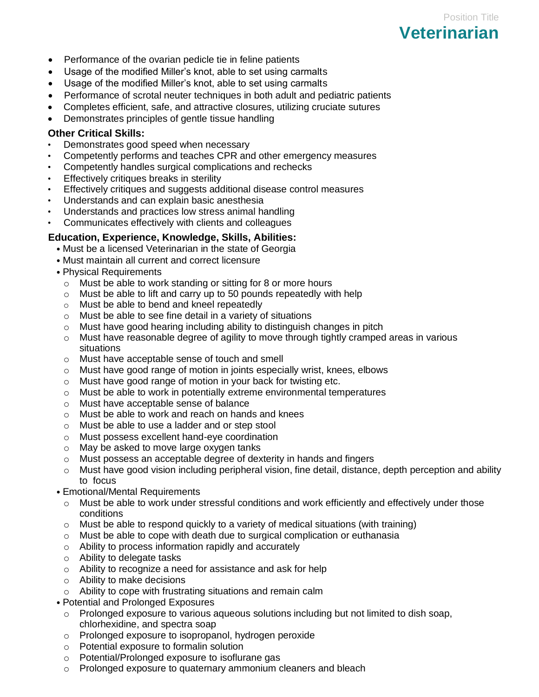- Performance of the ovarian pedicle tie in feline patients
- Usage of the modified Miller's knot, able to set using carmalts
- Usage of the modified Miller's knot, able to set using carmalts
- Performance of scrotal neuter techniques in both adult and pediatric patients

Position Title

**Veterinarian** 

- Completes efficient, safe, and attractive closures, utilizing cruciate sutures
- Demonstrates principles of gentle tissue handling

# **Other Critical Skills:**

- Demonstrates good speed when necessary
- Competently performs and teaches CPR and other emergency measures
- Competently handles surgical complications and rechecks
- Effectively critiques breaks in sterility
- Effectively critiques and suggests additional disease control measures
- Understands and can explain basic anesthesia
- Understands and practices low stress animal handling
- Communicates effectively with clients and colleagues

# **Education, Experience, Knowledge, Skills, Abilities:**

- Must be a licensed Veterinarian in the state of Georgia
- Must maintain all current and correct licensure
- Physical Requirements
	- o Must be able to work standing or sitting for 8 or more hours
	- o Must be able to lift and carry up to 50 pounds repeatedly with help
	- o Must be able to bend and kneel repeatedly
	- o Must be able to see fine detail in a variety of situations
	- o Must have good hearing including ability to distinguish changes in pitch
	- $\circ$  Must have reasonable degree of agility to move through tightly cramped areas in various situations
	- o Must have acceptable sense of touch and smell
	- o Must have good range of motion in joints especially wrist, knees, elbows
	- o Must have good range of motion in your back for twisting etc.
	- o Must be able to work in potentially extreme environmental temperatures
	- o Must have acceptable sense of balance
	- o Must be able to work and reach on hands and knees
	- o Must be able to use a ladder and or step stool
	- o Must possess excellent hand-eye coordination
	- o May be asked to move large oxygen tanks
	- o Must possess an acceptable degree of dexterity in hands and fingers
	- $\circ$  Must have good vision including peripheral vision, fine detail, distance, depth perception and ability to focus
- Emotional/Mental Requirements
	- o Must be able to work under stressful conditions and work efficiently and effectively under those conditions
	- $\circ$  Must be able to respond quickly to a variety of medical situations (with training)
	- $\circ$  Must be able to cope with death due to surgical complication or euthanasia
	- o Ability to process information rapidly and accurately
	- o Ability to delegate tasks
	- o Ability to recognize a need for assistance and ask for help
	- o Ability to make decisions
	- o Ability to cope with frustrating situations and remain calm
- Potential and Prolonged Exposures
	- o Prolonged exposure to various aqueous solutions including but not limited to dish soap, chlorhexidine, and spectra soap
	- o Prolonged exposure to isopropanol, hydrogen peroxide
	- o Potential exposure to formalin solution
	- o Potential/Prolonged exposure to isoflurane gas
	- o Prolonged exposure to quaternary ammonium cleaners and bleach